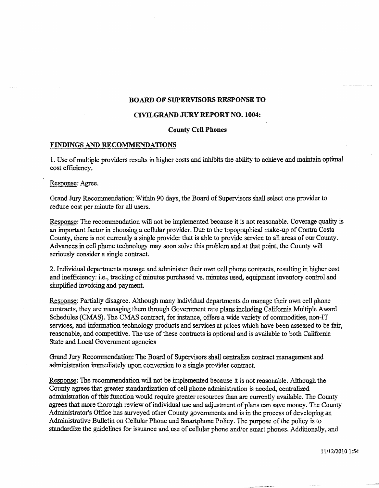# **BOARD OF SUPERVISORS RESPONSE TO**

## **CIVILGRAND JURY REPORT NO. 1004:**

### **County Cell Phones**

#### **FINDINGS AND RECOMMENDATIONS**

1. Use of multiple providers results in higher costs and inhibits the ability to achieve and maintain optimal cost efficiency.

## **Response:** Agree.

Grand Jury Recommendation: Within 90 days, the Board of Supervisors shall select one provider to reduce cost per minute for all users.

Response: The recommendation **will** not be implemented because it is not reasonable. Coverage quality is an important factor in choosing a cellular provider. **Due** to the topographical make-up **of** Contra **Costa**  County, there is not currently a single provider that is able to provide service to all areas of our County. Advances **in cell** phone technology may soon solve this problem and at that point, the County will seriously consider a single contract.

2. Individual departments manage and administer their own **cell** phone contracts, resulting **in** higher cost and **inefficiency:** i.e., tracking of minutes purchased vs. minutes used, equipment inventory control and simplified invoicing and payment.

Response: Partially disagree. Although many individual departments do manage their own cell phone contracts, they are managing them through Government rate plans including California Multiple Award Schedules (CMAS). **The** CMAS contract, for instance, offers a wide variety of commodities, non-IT services, and information technology products and services at prices which have been assessed to be fair, reasonable, and competitive. The use of these contracts is optional and is available to both **California**  State and Local Government agencies

Grand Jury Recommendation: The Board of **Supervisors shall** centralize contract management and administration immediately upon conversion to a single provider contract.

Response: The recommendation wiU not be implemented because it is not reasonable. Although the County agrees that greater standardization of cell phone administration is needed, centralized administration of this function would require greater resources than are currently available. The County agrees that more thorough review of individual use and adjustment of plans can save money. The County Administrator's Ofice has surveyed other County governments and is in the process of developing an **Admhiskative** Bulletin on Cellular **Phone** and Smartphone Policy. The **purpose** of the policy is to standardize the guidelines for issuance and use of cellular phone and/or smart phones. Additionally, and

11/12/2010 1:54